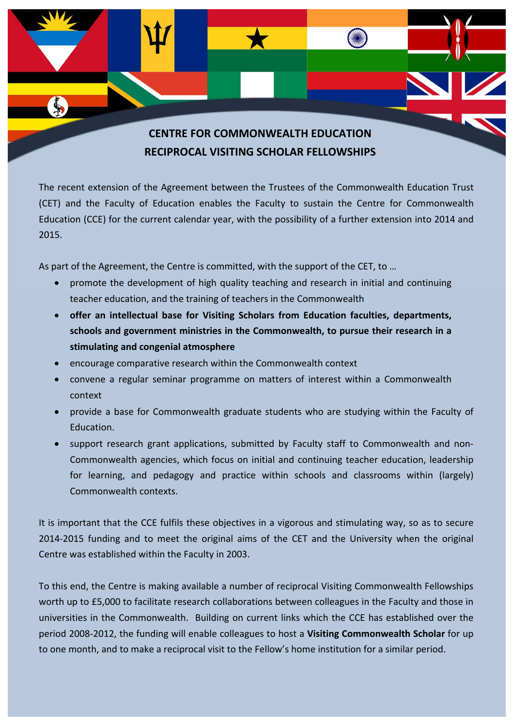

## **CENTRE FOR COMMONWEALTH EDUCATION RECIPROCAL VISITING SCHOLAR FELLOWSHIPS**

The recent extension of the Agreement between the Trustees of the Commonwealth Education Trust (CET) and the Faculty of Education enables the Faculty to sustain the Centre for Commonwealth Education (CCE) for the current calendar year, with the possibility of a further extension into 2014 and 2015.

As part of the Agreement, the Centre is committed, with the support of the CET, to …

- promote the development of high quality teaching and research in initial and continuing teacher education, and the training of teachers in the Commonwealth
- **offer an intellectual base for Visiting Scholars from Education faculties, departments, schools and government ministries in the Commonwealth, to pursue their research in a stimulating and congenial atmosphere**
- encourage comparative research within the Commonwealth context
- convene a regular seminar programme on matters of interest within a Commonwealth context
- provide a base for Commonwealth graduate students who are studying within the Faculty of Education.
- support research grant applications, submitted by Faculty staff to Commonwealth and non-Commonwealth agencies, which focus on initial and continuing teacher education, leadership for learning, and pedagogy and practice within schools and classrooms within (largely) Commonwealth contexts.

It is important that the CCE fulfils these objectives in a vigorous and stimulating way, so as to secure 2014‐2015 funding and to meet the original aims of the CET and the University when the original Centre was established within the Faculty in 2003.

To this end, the Centre is making available a number of reciprocal Visiting Commonwealth Fellowships worth up to £5,000 to facilitate research collaborations between colleagues in the Faculty and those in universities in the Commonwealth. Building on current links which the CCE has established over the period 2008‐2012, the funding will enable colleagues to host a **Visiting Commonwealth Scholar** for up to one month, and to make a reciprocal visit to the Fellow's home institution for a similar period.